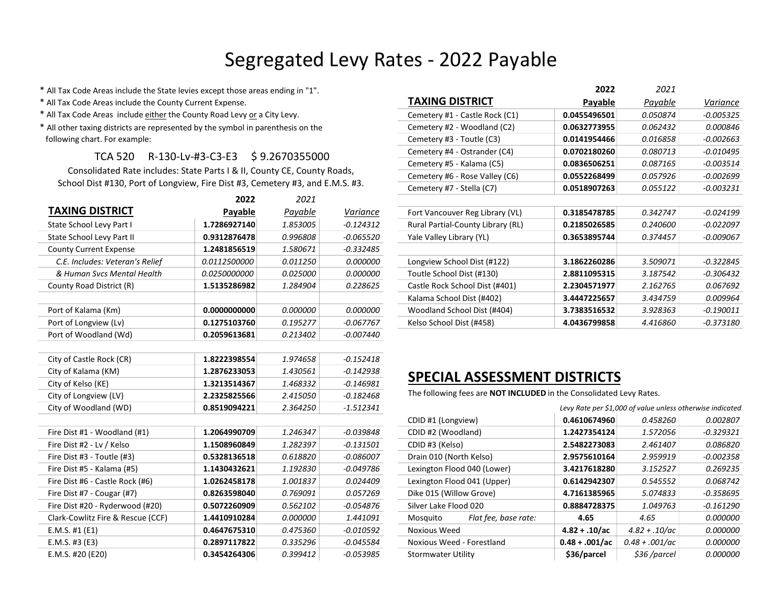## Segregated Levy Rates - 2022 Payable

\* All Tax Code Areas include the State levies except those areas ending in "1".

- \* All Tax Code Areas include the County Current Expense.
- \* All Tax Code Areas include either the County Road Levy or a City Levy.
- \* All other taxing districts are represented by the symbol in parenthesis on the following chart. For example:

## TCA 520 R-130-Lv-#3-C3-E3 \$ 9.2670355000

|                                   | 2022         | 2021     |             |
|-----------------------------------|--------------|----------|-------------|
| <b>TAXING DISTRICT</b>            | Payable      | Payable  | Variance    |
| State School Levy Part I          | 1.7286927140 | 1.853005 | $-0.124312$ |
| State School Levy Part II         | 0.9312876478 | 0.996808 | $-0.065520$ |
| <b>County Current Expense</b>     | 1.2481856519 | 1.580671 | $-0.332485$ |
| C.E. Includes: Veteran's Relief   | 0.0112500000 | 0.011250 | 0.000000    |
| & Human Svcs Mental Health        | 0.0250000000 | 0.025000 | 0.000000    |
| County Road District (R)          | 1.5135286982 | 1.284904 | 0.228625    |
|                                   |              |          |             |
| Port of Kalama (Km)               | 0.0000000000 | 0.000000 | 0.000000    |
| Port of Longview (Lv)             | 0.1275103760 | 0.195277 | $-0.067767$ |
| Port of Woodland (Wd)             | 0.2059613681 | 0.213402 | $-0.007440$ |
|                                   |              |          |             |
| City of Castle Rock (CR)          | 1.8222398554 | 1.974658 | $-0.152418$ |
| City of Kalama (KM)               | 1.2876233053 | 1.430561 | $-0.142938$ |
| City of Kelso (KE)                | 1.3213514367 | 1.468332 | $-0.146981$ |
| City of Longview (LV)             | 2.2325825566 | 2.415050 | $-0.182468$ |
| City of Woodland (WD)             | 0.8519094221 | 2.364250 | $-1.512341$ |
|                                   |              |          |             |
| Fire Dist #1 - Woodland (#1)      | 1.2064990709 | 1.246347 | $-0.039848$ |
| Fire Dist #2 - Lv / Kelso         | 1.1508960849 | 1.282397 | $-0.131501$ |
| Fire Dist #3 - Toutle (#3)        | 0.5328136518 | 0.618820 | $-0.086007$ |
| Fire Dist #5 - Kalama (#5)        | 1.1430432621 | 1.192830 | $-0.049786$ |
| Fire Dist #6 - Castle Rock (#6)   | 1.0262458178 | 1.001837 | 0.024409    |
| Fire Dist #7 - Cougar (#7)        | 0.8263598040 | 0.769091 | 0.057269    |
| Fire Dist #20 - Ryderwood (#20)   | 0.5072260909 | 0.562102 | $-0.054876$ |
| Clark-Cowlitz Fire & Rescue (CCF) | 1.4410910284 | 0.000000 | 1.441091    |
| $E.M.S.$ #1 $(E1)$                | 0.4647675310 | 0.475360 | $-0.010592$ |
| E.M.S. #3 $(E3)$                  | 0.2897117822 | 0.335296 | $-0.045584$ |
| E.M.S. #20 (E20)                  | 0.3454264306 | 0.399412 | $-0.053985$ |

| All Tax Code Areas include the State levies except those areas ending in "1".  |                   |                 |                 |                                   | 2022           | 2021     |             |
|--------------------------------------------------------------------------------|-------------------|-----------------|-----------------|-----------------------------------|----------------|----------|-------------|
| All Tax Code Areas include the County Current Expense.                         |                   |                 |                 | TAXING DISTRICT                   | <b>Payable</b> | Payable  | Variance    |
| All Tax Code Areas include either the County Road Levy or a City Levy.         |                   |                 |                 | Cemetery #1 - Castle Rock (C1)    | 0.0455496501   | 0.050874 | $-0.005325$ |
| All other taxing districts are represented by the symbol in parenthesis on the |                   |                 |                 | Cemetery #2 - Woodland (C2)       | 0.0632773955   | 0.062432 | 0.000846    |
| ollowing chart. For example:                                                   |                   |                 |                 | Cemetery #3 - Toutle (C3)         | 0.0141954466   | 0.016858 | $-0.002663$ |
| TCA 520                                                                        | R-130-Lv-#3-C3-E3 | \$9.2670355000  |                 | Cemetery #4 - Ostrander (C4)      | 0.0702180260   | 0.080713 | -0.010495   |
|                                                                                |                   |                 |                 | Cemetery #5 - Kalama (C5)         | 0.0836506251   | 0.087165 | $-0.003514$ |
| Consolidated Rate includes: State Parts   & II, County CE, County Roads,       |                   |                 |                 | Cemetery #6 - Rose Valley (C6)    | 0.0552268499   | 0.057926 | -0.002699   |
| School Dist #130, Port of Longview, Fire Dist #3, Cemetery #3, and E.M.S. #3.  |                   |                 |                 | Cemetery #7 - Stella (C7)         | 0.0518907263   | 0.055122 | $-0.003231$ |
|                                                                                | 2022              | 2021            |                 |                                   |                |          |             |
| <b>TAXING DISTRICT</b>                                                         | Payable           | Payable         | Variance        | Fort Vancouver Reg Library (VL)   | 0.3185478785   | 0.342747 | -0.024199   |
| State School Levy Part I                                                       | 1.7286927140      | 1.853005        | -0.124312       | Rural Partial-County Library (RL) | 0.2185026585   | 0.240600 | $-0.022097$ |
| State School Levy Part II                                                      | 0.9312876478      | 0.996808        | -0.065520       | Yale Valley Library (YL)          | 0.3653895744   | 0.374457 | $-0.009067$ |
| <b>County Current Expense</b>                                                  | 1.2481856519      | 1.580671        | -0.332485       |                                   |                |          |             |
| C.E. Includes: Veteran's Relief                                                | 0.0112500000      | 0.011250        | 0.000000        | Longview School Dist (#122)       | 3.1862260286   | 3.509071 | $-0.322845$ |
| & Human Svcs Mental Health                                                     | 0.0250000000      | <i>0.025000</i> | <i>0.000000</i> | Toutle School Dist (#130)         | 2.8811095315   | 3.187542 | $-0.306432$ |
| County Road District (R)                                                       | 1.5135286982      | 1.284904        | 0.228625        | Castle Rock School Dist (#401)    | 2.2304571977   | 2.162765 | 0.067692    |
|                                                                                |                   |                 |                 | Kalama School Dist (#402)         | 3.4447225657   | 3.434759 | 0.009964    |
| Port of Kalama (Km)                                                            | 0.0000000000      | <i>0.000000</i> | <i>0.000000</i> | Woodland School Dist (#404)       | 3.7383516532   | 3.928363 | $-0.190011$ |
| Port of Longview (Lv)                                                          | 0.1275103760      | 0.195277        | $-0.067767$     | Kelso School Dist (#458)          | 4.0436799858   | 4.416860 | $-0.373180$ |
|                                                                                |                   |                 |                 |                                   |                |          |             |

2022

2021

## SPECIAL ASSESSMENT DISTRICTS

The following fees are NOT INCLUDED in the Consolidated Levy Rates.

| City of Woodland (WD)             | 0.8519094221 | 2.364250        | $-1.512341$ | Levy Rate per \$1,000 of value unless otherwise indicated |                   |                   |                 |  |
|-----------------------------------|--------------|-----------------|-------------|-----------------------------------------------------------|-------------------|-------------------|-----------------|--|
|                                   |              |                 |             | CDID #1 (Longview)                                        | 0.4610674960      | 0.458260          | 0.002807        |  |
| Fire Dist #1 - Woodland (#1)      | 1.2064990709 | 1.246347        | $-0.039848$ | CDID #2 (Woodland)                                        | 1.2427354124      | 1.572056          | -0.329321       |  |
| Fire Dist #2 - Lv / Kelso         | 1.1508960849 | 1.282397        | -0.131501   | CDID #3 (Kelso)                                           | 2.5482273083      | 2.461407          | 0.086820        |  |
| Fire Dist #3 - Toutle (#3)        | 0.5328136518 | 0.618820        | $-0.086007$ | Drain 010 (North Kelso)                                   | 2.9575610164      | 2.959919          | $-0.002358$     |  |
| Fire Dist #5 - Kalama (#5)        | 1.1430432621 | 1.192830        | -0.049786   | Lexington Flood 040 (Lower)                               | 3.4217618280      | 3.152527          | 0.269235        |  |
| Fire Dist #6 - Castle Rock (#6)   | 1.0262458178 | 1.001837        | 0.024409    | Lexington Flood 041 (Upper)                               | 0.6142942307      | 0.545552          | 0.068742        |  |
| Fire Dist #7 - Cougar (#7)        | 0.8263598040 | 0.769091        | 0.057269    | Dike 015 (Willow Grove)                                   | 4.7161385965      | 5.074833          | -0.358695       |  |
| Fire Dist #20 - Ryderwood (#20)   | 0.5072260909 | 0.562102        | -0.054876   | Silver Lake Flood 020                                     | 0.8884728375      | 1.049763          | -0.161290       |  |
| Clark-Cowlitz Fire & Rescue (CCF) | 1.4410910284 | <i>0.000000</i> | 1.441091    | Flat fee, base rate:<br>Mosauito                          | 4.65              | 4.65              | <i>0.000000</i> |  |
| E.M.S. #1 (E1)                    | 0.4647675310 | 0.475360        | -0.010592   | Noxious Weed                                              | $4.82 + .10/ac$   | $4.82 + .10/ac$   | 0.000000        |  |
| E.M.S. #3 (E3)                    | 0.2897117822 | 0.335296        | -0.045584   | Noxious Weed - Forestland                                 | $0.48 + 0.001/ac$ | $0.48 + 0.001/ac$ | <i>0.000000</i> |  |
| E.M.S. #20 (E20)                  | 0.3454264306 | 0.399412        | -0.053985   | Stormwater Utility                                        | \$36/parcel       | $$36$ /parcel     | <i>0.000000</i> |  |
|                                   |              |                 |             |                                                           |                   |                   |                 |  |